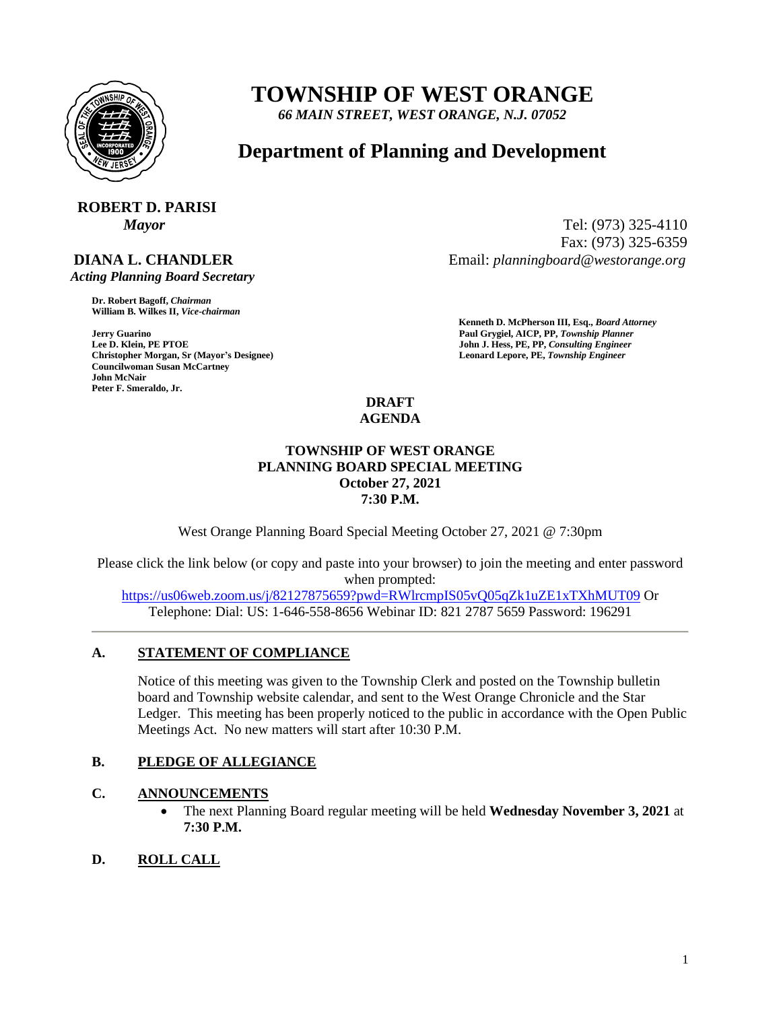

# **TOWNSHIP OF WEST ORANGE**

*66 MAIN STREET, WEST ORANGE, N.J. 07052*

## **Department of Planning and Development**

## **ROBERT D. PARISI**

## **DIANA L. CHANDLER**

 *Acting Planning Board Secretary*

**Dr. Robert Bagoff,** *Chairman*  **William B. Wilkes II,** *Vice-chairman* 

**Christopher Morgan, Sr (Mayor's Designee) Leonard Lepore, PE,** *Township Engineer*  **Councilwoman Susan McCartney John McNair Peter F. Smeraldo, Jr.** 

*Mayor* Tel: (973) 325-4110 Fax: (973) 325-6359 Email: *planningboard@westorange.org*

**Kenneth D. McPherson III, Esq.,** *Board Attorney*  **Jerry Guarino Paul Grygiel, AICP, PP,** *Township Planner*  **John J. Hess, PE, PP, Consulting Engineer** 

#### **DRAFT AGENDA**

#### **TOWNSHIP OF WEST ORANGE PLANNING BOARD SPECIAL MEETING October 27, 2021 7:30 P.M.**

West Orange Planning Board Special Meeting October 27, 2021 @ 7:30pm

Please click the link below (or copy and paste into your browser) to join the meeting and enter password when prompted:

<https://us06web.zoom.us/j/82127875659?pwd=RWlrcmpIS05vQ05qZk1uZE1xTXhMUT09> Or Telephone: Dial: US: 1-646-558-8656 Webinar ID: 821 2787 5659 Password: 196291

## **A. STATEMENT OF COMPLIANCE**

Notice of this meeting was given to the Township Clerk and posted on the Township bulletin board and Township website calendar, and sent to the West Orange Chronicle and the Star Ledger. This meeting has been properly noticed to the public in accordance with the Open Public Meetings Act. No new matters will start after 10:30 P.M.

## **B. PLEDGE OF ALLEGIANCE**

## **C. ANNOUNCEMENTS**

- The next Planning Board regular meeting will be held **Wednesday November 3, 2021** at **7:30 P.M.**
- **D. ROLL CALL**